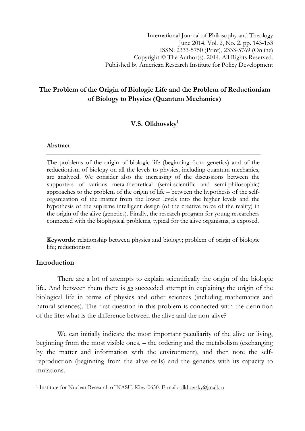# The Problem of the Origin of Biologic Life and the Problem of Reductionism of Biology to Physics (Quantum Mechanics)

# V.S. Olkhovsky<sup>1</sup>

### Abstract

The problems of the origin of biologic life (beginning from genetics) and of the reductionism of biology on all the levels to physics, including quantum mechanics, are analyzed. We consider also the increasing of the discussions between the supporters of various meta-theoretical (semi-scientific and semi-philosophic) approaches to the problem of the origin of life – between the hypothesis of the selforganization of the matter from the lower levels into the higher levels and the hypothesis of the supreme intelligent design (of the creative force of the reality) in the origin of the alive (genetics). Finally, the research program for young researchers connected with the biophysical problems, typical for the alive organisms, is exposed.

Keywords: relationship between physics and biology; problem of origin of biologic life; reductionism

## Introduction

l

There are a lot of attempts to explain scientifically the origin of the biologic life. And between them there is  $\underline{n}\underline{\theta}$  succeeded attempt in explaining the origin of the biological life in terms of physics and other sciences (including mathematics and natural sciences). The first question in this problem is connected with the definition of the life: what is the difference between the alive and the non-alive?

We can initially indicate the most important peculiarity of the alive or living, beginning from the most visible ones, – the ordering and the metabolism (exchanging by the matter and information with the environment), and then note the selfreproduction (beginning from the alive cells) and the genetics with its capacity to mutations.

<sup>&</sup>lt;sup>1</sup> Institute for Nuclear Research of NASU, Kiev-0650. E-mail: olkhovsky@mail.ru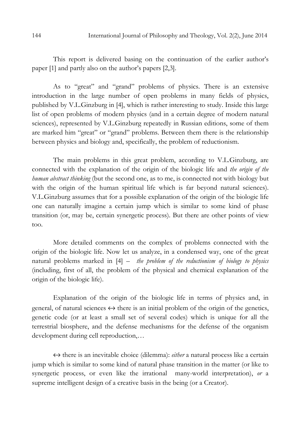This report is delivered basing on the continuation of the earlier author's paper [1] and partly also on the author's papers [2,3].

As to "great" and "grand" problems of physics. There is an extensive introduction in the large number of open problems in many fields of physics, published by V.L.Ginzburg in [4], which is rather interesting to study. Inside this large list of open problems of modern physics (and in a certain degree of modern natural sciences), represented by V.L.Ginzburg repeatedly in Russian editions, some of them are marked him "great" or "grand" problems. Between them there is the relationship between physics and biology and, specifically, the problem of reductionism.

The main problems in this great problem, according to V.L.Ginzburg, are connected with the explanation of the origin of the biologic life and the origin of the human abstract thinking (but the second one, as to me, is connected not with biology but with the origin of the human spiritual life which is far beyond natural sciences). V.L.Ginzburg assumes that for a possible explanation of the origin of the biologic life one can naturally imagine a certain jump which is similar to some kind of phase transition (or, may be, certain synergetic process). But there are other points of view too.

More detailed comments on the complex of problems connected with the origin of the biologic life. Now let us analyze, in a condensed way, one of the great natural problems marked in  $[4]$  – the problem of the reductionism of biology to physics (including, first of all, the problem of the physical and chemical explanation of the origin of the biologic life).

Explanation of the origin of the biologic life in terms of physics and, in general, of natural sciences  $\leftrightarrow$  there is an initial problem of the origin of the genetics, genetic code (or at least a small set of several codes) which is unique for all the terrestrial biosphere, and the defense mechanisms for the defense of the organism development during cell reproduction,…

 $\leftrightarrow$  there is an inevitable choice (dilemma): *either* a natural process like a certain jump which is similar to some kind of natural phase transition in the matter (or like to synergetic process, or even like the irrational many-world interpretation), or a supreme intelligent design of a creative basis in the being (or a Creator).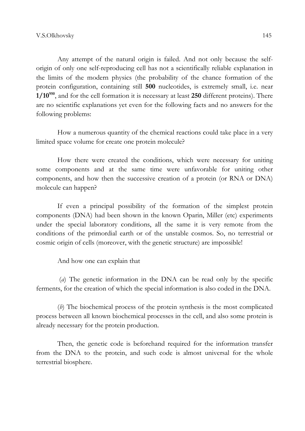Any attempt of the natural origin is failed. And not only because the selforigin of only one self-reproducing cell has not a scientifically reliable explanation in the limits of the modern physics (the probability of the chance formation of the protein configuration, containing still 500 nucleotides, is extremely small, i.e. near  $1/10<sup>950</sup>$ , and for the cell formation it is necessary at least 250 different proteins). There are no scientific explanations yet even for the following facts and no answers for the following problems:

How a numerous quantity of the chemical reactions could take place in a very limited space volume for create one protein molecule?

How there were created the conditions, which were necessary for uniting some components and at the same time were unfavorable for uniting other components, and how then the successive creation of a protein (or RNA or DNA) molecule can happen?

If even a principal possibility of the formation of the simplest protein components (DNA) had been shown in the known Oparin, Miller (etc) experiments under the special laboratory conditions, all the same it is very remote from the conditions of the primordial earth or of the unstable cosmos. So, no terrestrial or cosmic origin of cells (moreover, with the genetic structure) are impossible!

And how one can explain that

 (a) The genetic information in the DNA can be read only by the specific ferments, for the creation of which the special information is also coded in the DNA.

(b) The biochemical process of the protein synthesis is the most complicated process between all known biochemical processes in the cell, and also some protein is already necessary for the protein production.

Then, the genetic code is beforehand required for the information transfer from the DNA to the protein, and such code is almost universal for the whole terrestrial biosphere.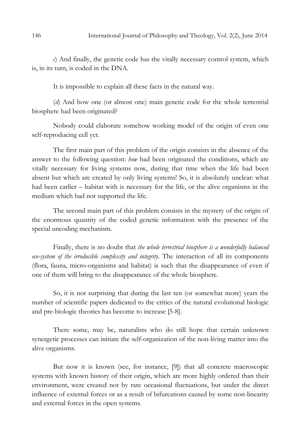c) And finally, the genetic code has the vitally necessary control system, which is, in its turn, is coded in the DNA.

It is impossible to explain all these facts in the natural way.

(d) And how one (or almost one) main genetic code for the whole terrestrial biosphere had been originated?

Nobody could elaborate somehow working model of the origin of even one self-reproducing cell yet.

The first main part of this problem of the origin consists in the absence of the answer to the following question: how had been originated the conditions, which are vitally necessary for living systems now, during that time when the life had been absent but which are created by only living systems! So, it is absolutely unclear: what had been earlier – habitat with is necessary for the life, or the alive organisms in the medium which had not supported the life.

The second main part of this problem consists in the mystery of the origin of the enormous quantity of the coded genetic information with the presence of the special uncoding mechanism.

Finally, there is no doubt that the whole terrestrial biosphere is a wonderfully balanced eco-system of the irreducible complexity and integrity. The interaction of all its components (flora, fauna, micro-organisms and habitat) is such that the disappearance of even if one of them will bring to the disappearance of the whole biosphere.

So, it is not surprising that during the last ten (or somewhat more) years the number of scientific papers dedicated to the critics of the natural evolutional biologic and pre-biologic theories has become to increase [5-8].

There some, may be, naturalists who do still hope that certain unknown synergetic processes can initiate the self-organization of the non-living matter into the alive organisms.

But now it is known (see, for instance, [9]) that all concrete macroscopic systems with known history of their origin, which are more highly ordered than their environment, were created not by rare occasional fluctuations, but under the direct influence of external forces or as a result of bifurcations caused by some non-linearity and external forces in the open systems.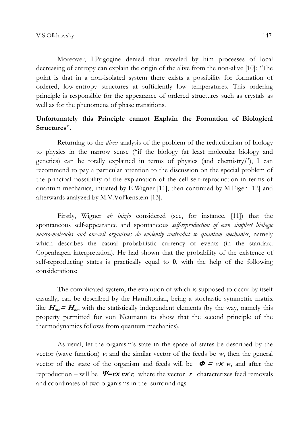Moreover, I.Prigogine denied that revealed by him processes of local decreasing of entropy can explain the origin of the alive from the non-alive [10]: "The point is that in a non-isolated system there exists a possibility for formation of ordered, low-entropy structures at sufficiently low temperatures. This ordering principle is responsible for the appearance of ordered structures such as crystals as well as for the phenomena of phase transitions.

## Unfortunately this Principle cannot Explain the Formation of Biological Structures".

Returning to the *direct* analysis of the problem of the reductionism of biology to physics in the narrow sense ("if the biology (at least molecular biology and genetics) can be totally explained in terms of physics (and chemistry)"), I can recommend to pay a particular attention to the discussion on the special problem of the principal possibility of the explanation of the cell self-reproduction in terms of quantum mechanics, initiated by E.Wigner [11], then continued by M.Eigen [12] and afterwards analyzed by M.V.Vol'kenstein [13].

Firstly, Wigner *ab inizio* considered (see, for instance, [11]) that the spontaneous self-appearance and spontaneous self-reproduction of even simplest biologic macro-molecules and one-cell organisms do evidently contradict to quantum mechanics, namely which describes the casual probabilistic currency of events (in the standard Copenhagen interpretation). He had shown that the probability of the existence of self-reproducting states is practically equal to 0, with the help of the following considerations:

The complicated system, the evolution of which is supposed to occur by itself casually, can be described by the Hamiltonian, being a stochastic symmetric matrix like  $H_{mn} = H_{nm}$  with the statistically independent elements (by the way, namely this property permitted for von Neumann to show that the second principle of the thermodynamics follows from quantum mechanics).

As usual, let the organism's state in the space of states be described by the vector (wave function)  $v$ ; and the similar vector of the feeds be  $w$ , then the general vector of the state of the organism and feeds will be  $\Phi = v \times w$ , and after the reproduction – will be  $\Psi = v \times v \times r$ , where the vector r characterizes feed removals and coordinates of two organisms in the surroundings.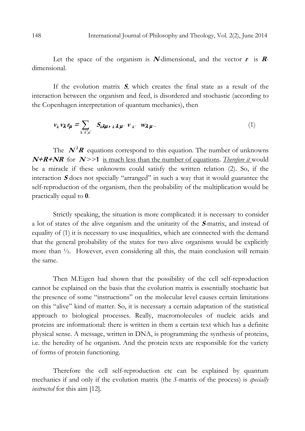Let the space of the organism is N-dimensional, and the vector  $\mathbf{r}$  is  $\mathbf{R}$ dimensional.

If the evolution matrix  $S$ , which creates the final state as a result of the interaction between the organism and feed, is disordered and stochastic (according to the Copenhagen interpretation of quantum mechanics), then

$$
v_k v_\lambda r_\mu = \sum_{k' \lambda' \mu'} S_{k\lambda \mu, k\lambda \mu'} v_{k'} w_{\lambda \mu'}.
$$
 (1)

The  $N^2R$  equations correspond to this equation. The number of unknowns  $N+R+NR$  for  $N >> 1$  is much less than the number of equations. *Therefore it* would be a miracle if these unknowns could satisfy the written relation (2). So, if the interaction  $S$  does not specially "arranged" in such a way that it would guarantee the self-reproduction of the organism, then the probability of the multiplication would be practically equal to 0.

Strictly speaking, the situation is more complicated: it is necessary to consider a lot of states of the alive organism and the unitarity of the <sup>S</sup>-matrix, and instead of equality of (1) it is necessary to use inequalities, which are connected with the demand that the general probability of the states for two alive organisms would be explicitly more than <sup>1</sup>/<sub>2</sub>. However, even considering all this, the main conclusion will remain the same.

Then M.Eigen had shown that the possibility of the cell self-reproduction cannot be explained on the basis that the evolution matrix is essentially stochastic but the presence of some "instructions" on the molecular level causes certain limitations on this "alive" kind of matter. So, it is necessary a certain adaptation of the statistical approach to biological processes. Really, macromolecules of nucleic acids and proteins are informational: there is written in them a certain text which has a definite physical sense. A message, written in DNA, is programming the synthesis of proteins, i.e. the heredity of he organism. And the protein texts are responsible for the variety of forms of protein functioning.

Therefore the cell self-reproduction etc can be explained by quantum mechanics if and only if the evolution matrix (the S-matrix of the process) is specially instructed for this aim [12].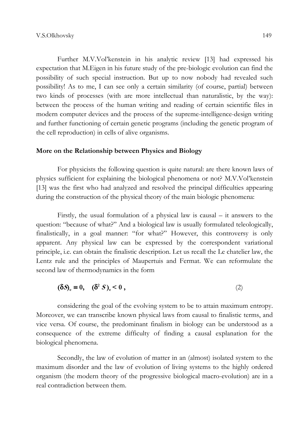Further M.V.Vol'kenstein in his analytic review [13] had expressed his expectation that M.Eigen in his future study of the pre-biologic evolution can find the possibility of such special instruction. But up to now nobody had revealed such possibility! As to me, I can see only a certain similarity (of course, partial) between two kinds of processes (with are more intellectual than naturalistic, by the way): between the process of the human writing and reading of certain scientific files in modern computer devices and the process of the supreme-intelligence-design writing and further functioning of certain genetic programs (including the genetic program of the cell reproduction) in cells of alive organisms.

### More on the Relationship between Physics and Biology

For physicists the following question is quite natural: are there known laws of physics sufficient for explaining the biological phenomena or not? M.V.Vol'kenstein [13] was the first who had analyzed and resolved the principal difficulties appearing during the construction of the physical theory of the main biologic phenomena:

Firstly, the usual formulation of a physical law is causal – it answers to the question: "because of what?" And a biological law is usually formulated teleologically, finalistically, in a goal manner: "for what?" However, this controversy is only apparent. Any physical law can be expressed by the correspondent variational principle, i.e. can obtain the finalistic description. Let us recall the Le chatelier law, the Lentz rule and the principles of Maupertuis and Fermat. We can reformulate the second law of thermodynamics in the form

$$
(\delta S)_{\rm e} \equiv 0, \quad (\delta^2 S)_{\rm e} < 0 \tag{2}
$$

considering the goal of the evolving system to be to attain maximum entropy. Moreover, we can transcribe known physical laws from causal to finalistic terms, and vice versa. Of course, the predominant finalism in biology can be understood as a consequence of the extreme difficulty of finding a causal explanation for the biological phenomena.

Secondly, the law of evolution of matter in an (almost) isolated system to the maximum disorder and the law of evolution of living systems to the highly ordered organism (the modern theory of the progressive biological macro-evolution) are in a real contradiction between them.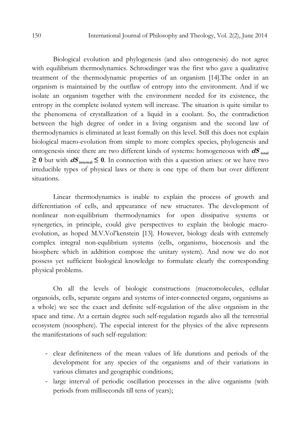Biological evolution and phylogenesis (and also ontogenesis) do not agree with equilibrium thermodynamics. Schroedinger was the first who gave a qualitative treatment of the thermodynamic properties of an organism [14].The order in an organism is maintained by the outflaw of entropy into the environment. And if we isolate an organism together with the environment needed for its existence, the entropy in the complete isolated system will increase. The situation is quite similar to the phenomena of crystallization of a liquid in a coolant. So, the contradiction between the high degree of order in a living organism and the second law of thermodynamics is eliminated at least formally on this level. Still this does not explain biological macro-evolution from simple to more complex species, phylogenesis and ontogenesis since there are two different kinds of systems: homogeneous with  $dS$  total  $≥$  0 but with  $dS$ <sub>internal</sub> ≤ 0. In connection with this a question arises: or we have two irreducible types of physical laws or there is one type of them but over different situations.

Linear thermodynamics is inable to explain the process of growth and differentiation of cells, and appearance of new structures. The development of nonlinear non-equilibrium thermodynamics for open dissipative systems or synergetics, in principle, could give perspectives to explain the biologic macroevolution, as hoped M.V.Vol'kenstein [13]. However, biology deals with extremely complex integral non-equlibrium systems (cells, organisms, biocenosis and the biosphere which in addtition compose the unitary system). And now we do not possess yet sufficient biological knowledge to formulate clearly the corresponding physical problems.

On all the levels of biologic constructions (macromolecules, cellular organoids, cells, separate organs and systems of inter-connected organs, organisms as a whole) we see the exact and definite self-regulation of the alive organism in the space and time. At a certain degree such self-regulation regards also all the terrestrial ecosystem (noosphere). The especial interest for the physics of the alive represents the manifestations of such self-regulation:

- clear definiteness of the mean values of life durations and periods of the development for any species of the organisms and of their variations in various climates and geographic conditions;
- large interval of periodic oscillation processes in the alive organisms (with periods from milliseconds till tens of years);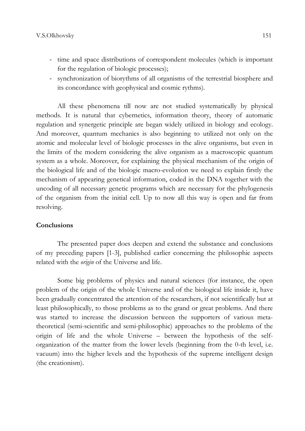- time and space distributions of correspondent molecules (which is important for the regulation of biologic processes);
- synchronization of biorythms of all organisms of the terrestrial biosphere and its concordance with geophysical and cosmic rythms).

All these phenomena till now are not studied systematically by physical methods. It is natural that cybernetics, information theory, theory of automatic regulation and synergetic principle are began widely utilized in biology and ecology. And moreover, quantum mechanics is also beginning to utilized not only on the atomic and molecular level of biologic processes in the alive organisms, but even in the limits of the modern considering the alive organism as a macroscopic quantum system as a whole. Moreover, for explaining the physical mechanism of the origin of the biological life and of the biologic macro-evolution we need to explain firstly the mechanism of appearing genetical information, coded in the DNA together with the uncoding of all necessary genetic programs which are necessary for the phylogenesis of the organism from the initial cell. Up to now all this way is open and far from resolving.

#### **Conclusions**

The presented paper does deepen and extend the substance and conclusions of my preceding papers [1-3], published earlier concerning the philosophic aspects related with the *origin* of the Universe and life.

Some big problems of physics and natural sciences (for instance, the open problem of the origin of the whole Universe and of the biological life inside it, have been gradually concentrated the attention of the researchers, if not scientifically but at least philosophically, to those problems as to the grand or great problems. And there was started to increase the discussion between the supporters of various metatheoretical (semi-scientific and semi-philosophic) approaches to the problems of the origin of life and the whole Universe – between the hypothesis of the selforganization of the matter from the lower levels (beginning from the 0-th level, i.e. vacuum) into the higher levels and the hypothesis of the supreme intelligent design (the creationism).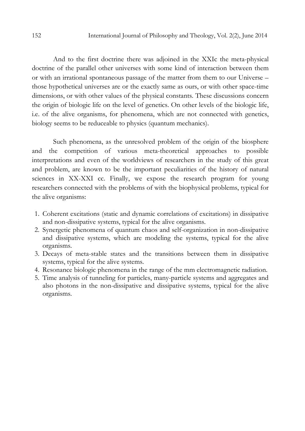And to the first doctrine there was adjoined in the XXIc the meta-physical doctrine of the parallel other universes with some kind of interaction between them or with an irrational spontaneous passage of the matter from them to our Universe – those hypothetical universes are or the exactly same as ours, or with other space-time dimensions, or with other values of the physical constants. These discussions concern the origin of biologic life on the level of genetics. On other levels of the biologic life, i.e. of the alive organisms, for phenomena, which are not connected with genetics, biology seems to be reduceable to physics (quantum mechanics).

Such phenomena, as the unresolved problem of the origin of the biosphere and the competition of various meta-theoretical approaches to possible interpretations and even of the worldviews of researchers in the study of this great and problem, are known to be the important peculiarities of the history of natural sciences in XX-XXI cc. Finally, we expose the research program for young researchers connected with the problems of with the biophysical problems, typical for the alive organisms:

- 1. Coherent excitations (static and dynamic correlations of excitations) in dissipative and non-dissipative systems, typical for the alive organisms.
- 2. Synergetic phenomena of quantum chaos and self-organization in non-dissipative and dissipative systems, which are modeling the systems, typical for the alive organisms.
- 3. Decays of meta-stable states and the transitions between them in dissipative systems, typical for the alive systems.
- 4. Resonance biologic phenomena in the range of the mm electromagnetic radiation.
- 5. Time analysis of tunneling for particles, many-particle systems and aggregates and also photons in the non-dissipative and dissipative systems, typical for the alive organisms.